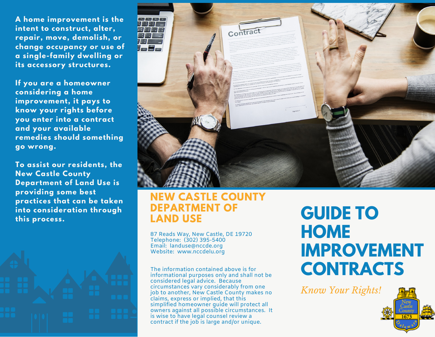**A home improvement is the intent to construct, alter, repair, move, demolish, or change occupancy or use of a single-family dwelling or its accessory structures.**

**If you are a homeowner considering a home improvement, it pays to know your rights before you enter into a contract and your available remedies should something go wrong.**

**To assist our residents, the New Castle County Department of Land Use is providing some best practices that can be taken into consideration through**





#### **NEW CASTLE COUNTY DEPARTMENT OF LAND USE** into consideration through DEPARTMENT OF **CUIDE TO**<br>this process. TAND USE

87 Reads Way, New Castle, DE 19720 Telephone: (302) 395-5400 Email: landuse@nccde.org Website: www.nccdelu.org

The information contained above is for informational purposes only and shall not be considered legal advice. Because circumstances vary considerably from one job to another, New Castle County makes no claims, express or implied, that this simplified homeowner guide will protect all owners against all possible circumstances. It is wise to have legal counsel review a contract if the job is large and/or unique.

# **HOME IMPROVEMENT CONTRACTS**

*Know Your Rights!*